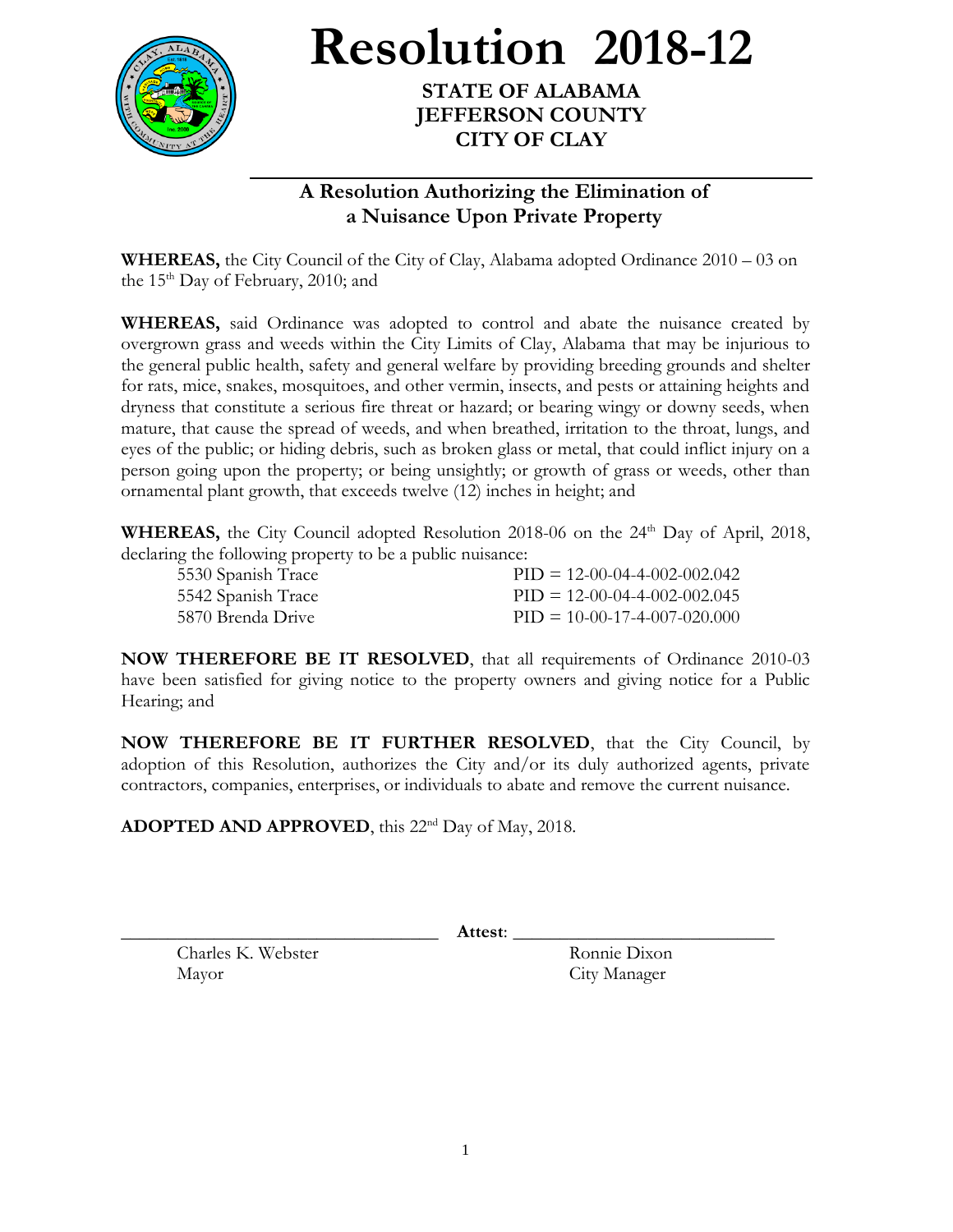

**Resolution 2018-12**

**STATE OF ALABAMA JEFFERSON COUNTY CITY OF CLAY**

## **A Resolution Authorizing the Elimination of a Nuisance Upon Private Property**

**WHEREAS,** the City Council of the City of Clay, Alabama adopted Ordinance 2010 – 03 on the  $15<sup>th</sup>$  Day of February, 2010; and

**WHEREAS,** said Ordinance was adopted to control and abate the nuisance created by overgrown grass and weeds within the City Limits of Clay, Alabama that may be injurious to the general public health, safety and general welfare by providing breeding grounds and shelter for rats, mice, snakes, mosquitoes, and other vermin, insects, and pests or attaining heights and dryness that constitute a serious fire threat or hazard; or bearing wingy or downy seeds, when mature, that cause the spread of weeds, and when breathed, irritation to the throat, lungs, and eyes of the public; or hiding debris, such as broken glass or metal, that could inflict injury on a person going upon the property; or being unsightly; or growth of grass or weeds, other than ornamental plant growth, that exceeds twelve (12) inches in height; and

WHEREAS, the City Council adopted Resolution 2018-06 on the 24<sup>th</sup> Day of April, 2018, declaring the following property to be a public nuisance:

| 5530 Spanish Trace | $PID = 12-00-04-4-002-002.042$ |
|--------------------|--------------------------------|
| 5542 Spanish Trace | $PID = 12-00-04-4-002-002.045$ |
| 5870 Brenda Drive  | $PID = 10-00-17-4-007-020.000$ |

**NOW THEREFORE BE IT RESOLVED**, that all requirements of Ordinance 2010-03 have been satisfied for giving notice to the property owners and giving notice for a Public Hearing; and

**NOW THEREFORE BE IT FURTHER RESOLVED**, that the City Council, by adoption of this Resolution, authorizes the City and/or its duly authorized agents, private contractors, companies, enterprises, or individuals to abate and remove the current nuisance.

ADOPTED AND APPROVED, this 22<sup>nd</sup> Day of May, 2018.

\_\_\_\_\_\_\_\_\_\_\_\_\_\_\_\_\_\_\_\_\_\_\_\_\_\_\_\_\_\_\_\_\_\_ **Attest**: \_\_\_\_\_\_\_\_\_\_\_\_\_\_\_\_\_\_\_\_\_\_\_\_\_\_\_\_

Charles K. Webster Ronnie Dixon Mayor City Manager